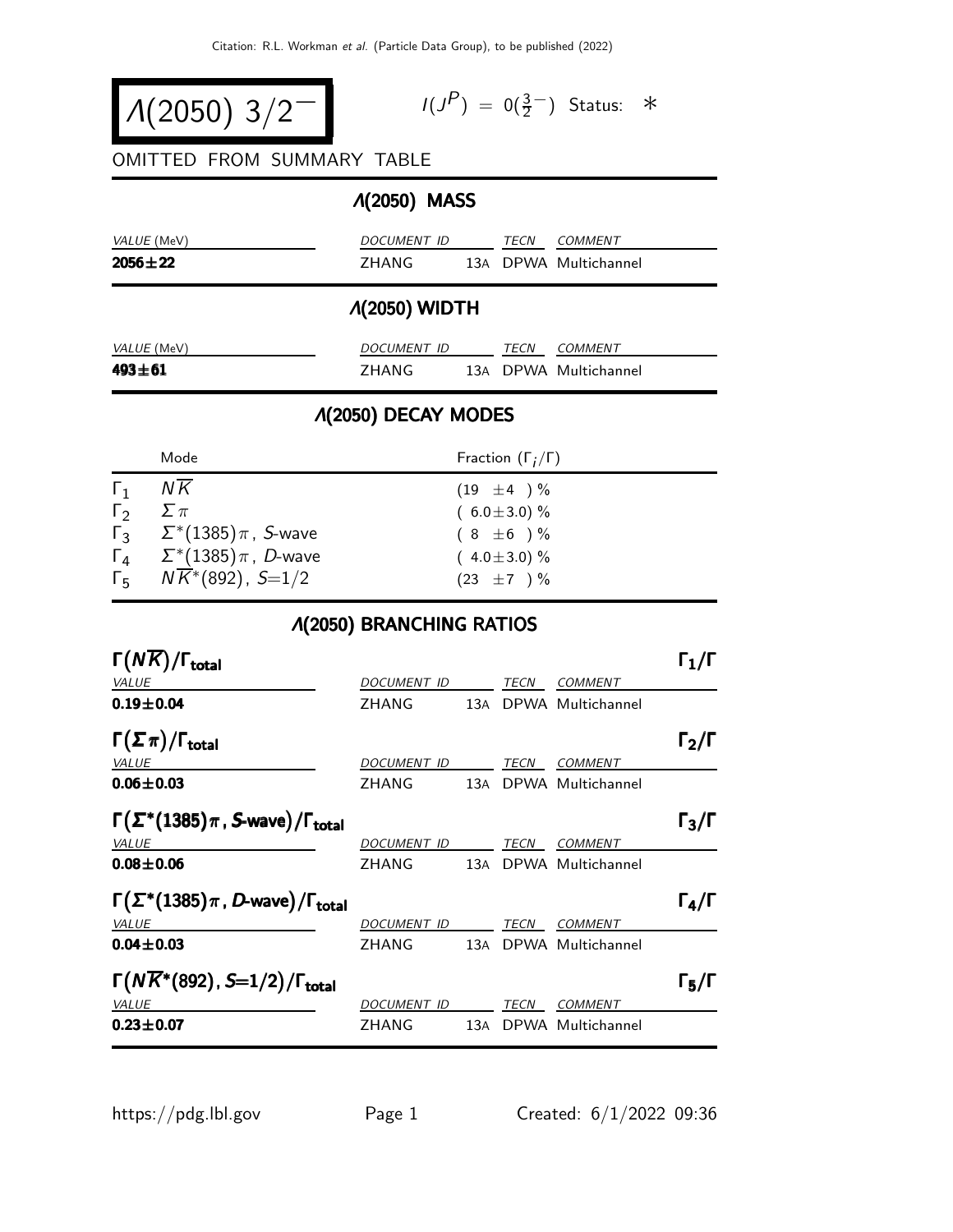$$
\Lambda(2050) 3/2^-
$$

$$
I(J^P) = 0(\frac{3}{2}^-) \quad \text{Status:} \quad *
$$

#### OMITTED FROM SUMMARY TABLE

# Λ(2050) MASS

| VALUE (MeV)   | DOCUMENT ID | <i>TECN</i> | <i>COMMENT</i>        |
|---------------|-------------|-------------|-----------------------|
| $2056 \pm 22$ | 7HANG       |             | 13A DPWA Multichannel |
|               |             |             |                       |

### Λ(2050) WIDTH

| <i>VALUE</i> (MeV) | DOCUMENT ID |  | TFCN | COMMENT               |
|--------------------|-------------|--|------|-----------------------|
| $493 + 61$         | 7HANG       |  |      | 13A DPWA Multichannel |

## Λ(2050) DECAY MODES

|                          | Mode                                                                                                                                                                                 | Fraction $(\Gamma_i/\Gamma)$                                                                   |
|--------------------------|--------------------------------------------------------------------------------------------------------------------------------------------------------------------------------------|------------------------------------------------------------------------------------------------|
| $\Gamma_1$<br>$\sqrt{2}$ | N K<br>$\sum \pi$<br>$\Gamma_3$ $\Sigma^*(1385)\pi$ , <i>S</i> -wave<br>$\Gamma_4 \quad \Sigma^*(1385) \pi$ , <i>D</i> -wave<br>$\Gamma_5$ $N\overline{K}$ <sup>*</sup> (892), S=1/2 | $(19 \pm 4) \%$<br>$(6.0 \pm 3.0)\%$<br>$(8 \pm 6) \%$<br>$(4.0 \pm 3.0)\%$<br>$(23 \pm 7) \%$ |
|                          |                                                                                                                                                                                      |                                                                                                |

#### Λ(2050) BRANCHING RATIOS

| $\Gamma(N\overline{K})/\Gamma_{\rm total}$                       |                     |  |      |                       | $\mathsf{\Gamma}_1/\mathsf{\Gamma}$ |
|------------------------------------------------------------------|---------------------|--|------|-----------------------|-------------------------------------|
| <b>VALUE</b>                                                     | DOCUMENT ID         |  | TECN | <b>COMMENT</b>        |                                     |
| $0.19 + 0.04$                                                    | ZHANG               |  |      | 13A DPWA Multichannel |                                     |
| $\Gamma(\Sigma \pi)/\Gamma_{\rm total}$                          |                     |  |      |                       | $\Gamma_2/\Gamma$                   |
| <b>VALUE</b>                                                     | DOCUMENT ID         |  | TECN | COMMENT               |                                     |
| $0.06 \pm 0.03$                                                  | ZHANG               |  |      | 13A DPWA Multichannel |                                     |
| $\Gamma(\Sigma^*(1385)\pi, S\text{-wave})/\Gamma_{\text{total}}$ |                     |  |      |                       | $\Gamma_3/\Gamma$                   |
| <b>VALUE</b>                                                     | DOCUMENT ID         |  | TECN | <b>COMMENT</b>        |                                     |
| $0.08 \pm 0.06$                                                  | ZHANG               |  |      | 13A DPWA Multichannel |                                     |
| $\Gamma(\Sigma^*(1385)\pi, D$ -wave)/ $\Gamma_{\text{total}}$    |                     |  |      |                       | $\Gamma_4/\Gamma$                   |
| <b>VALUE</b>                                                     | DOCUMENT ID         |  | TECN | <b>COMMENT</b>        |                                     |
| $0.04 \pm 0.03$                                                  | ZHANG               |  |      | 13A DPWA Multichannel |                                     |
| $\Gamma(N\overline{K}^*(892), S=1/2)/\Gamma_{\rm total}$         |                     |  |      |                       | $\Gamma_5/\Gamma$                   |
| <b>VALUE</b>                                                     | DOCU <u>MENT ID</u> |  | TECN | <b>COMMENT</b>        |                                     |
| $0.23 \pm 0.07$                                                  | ZHANG               |  |      | 13A DPWA Multichannel |                                     |
|                                                                  |                     |  |      |                       |                                     |